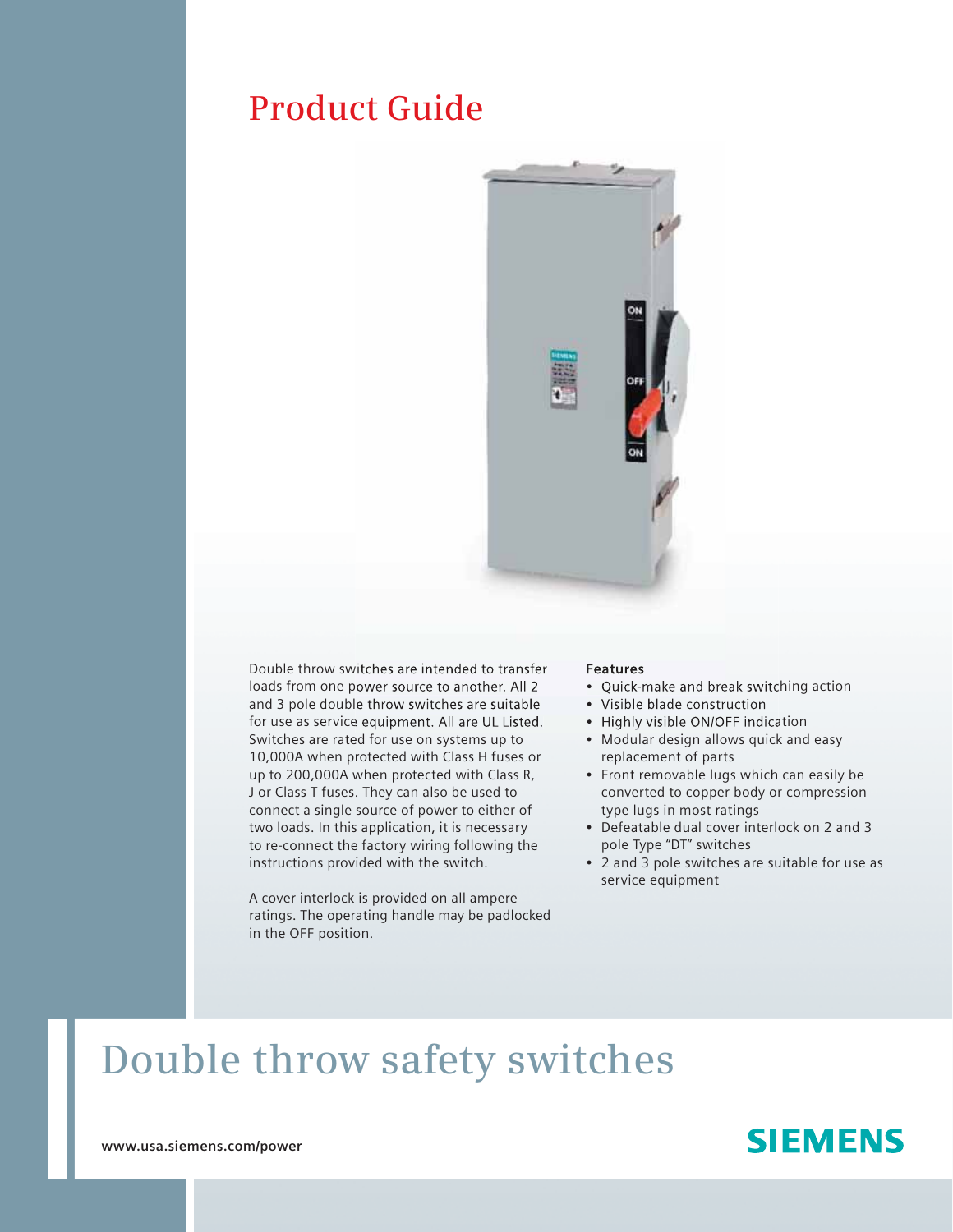## **Product Guide**



Double throw switches are intended to transfer loads from one power source to another. All 2 and 3 pole double throw switches are suitable for use as service equipment. All are UL Listed. Switches are rated for use on systems up to 10,000A when protected with Class H fuses or up to 200,000A when protected with Class R, J or Class T fuses. They can also be used to connect a single source of power to either of two loads. In this application, it is necessary to re-connect the factory wiring following the instructions provided with the switch.

A cover interlock is provided on all ampere ratings. The operating handle may be padlocked in the OFF position.

#### **Features**

- Quick-make and break switching action
- Visible blade construction
- Highly visible ON/OFF indication
- Modular design allows quick and easy replacement of parts
- Front removable lugs which can easily be converted to copper body or compression type lugs in most ratings
- Defeatable dual cover interlock on 2 and 3 pole Type "DT" switches
- 2 and 3 pole switches are suitable for use as service equipment

# **Double throw safety switches**

### **SIEMENS**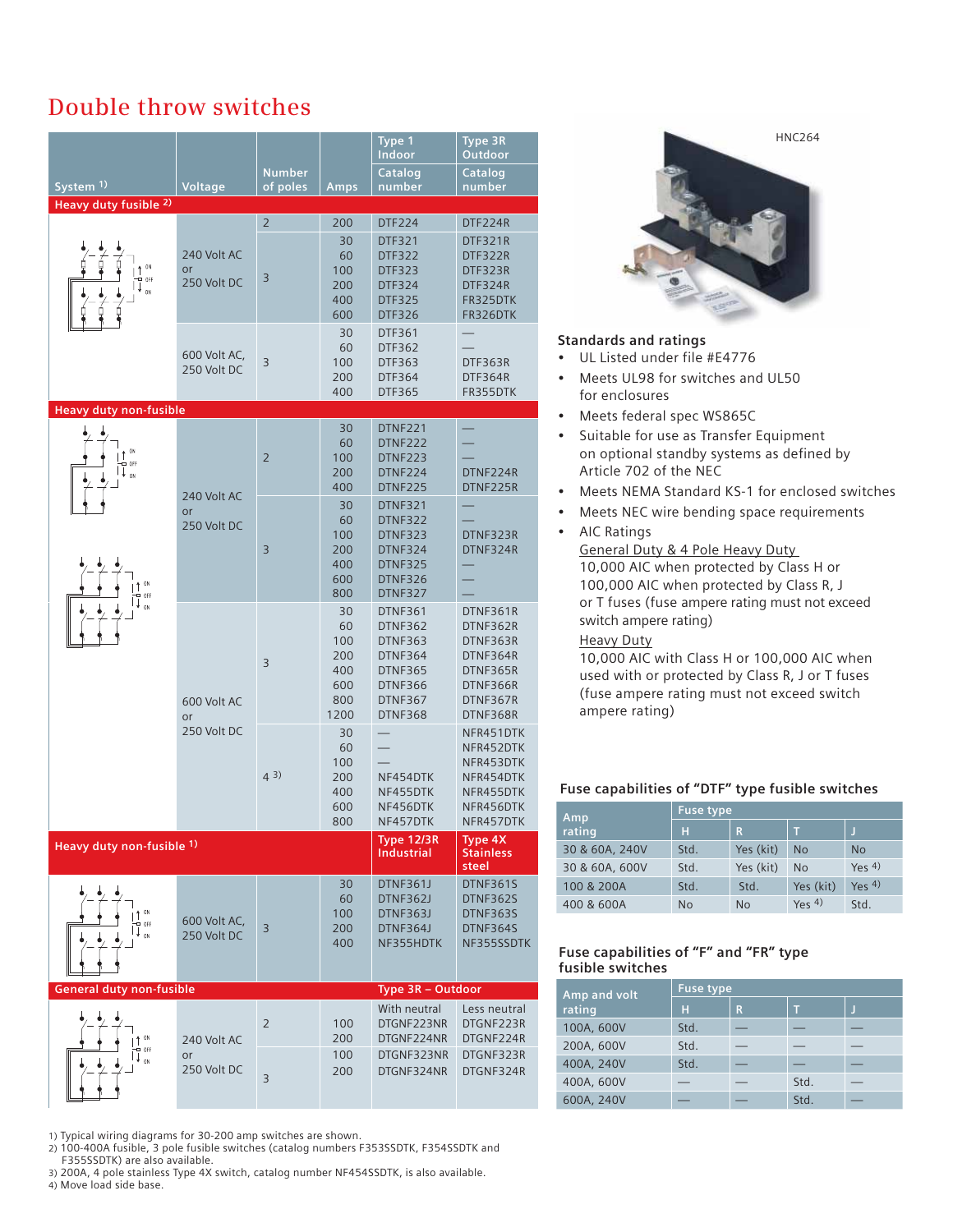### **Double throw switches**

| System <sup>1)</sup><br>Heavy duty fusible 2)            | Voltage                          | <b>Number</b><br>of poles | <b>Amps</b>                                         | Type <sub>1</sub><br>Indoor<br>Catalog<br>number                                                                        | Type 3R<br>Outdoor<br>Catalog<br>number                                                      |
|----------------------------------------------------------|----------------------------------|---------------------------|-----------------------------------------------------|-------------------------------------------------------------------------------------------------------------------------|----------------------------------------------------------------------------------------------|
| 0 <sub>N</sub><br>OFF<br>0N                              | 240 Volt AC<br>or<br>250 Volt DC | $\overline{2}$<br>3       | 200<br>30<br>60<br>100<br>200<br>400                | <b>DTF224</b><br><b>DTF321</b><br><b>DTF322</b><br><b>DTF323</b><br><b>DTF324</b><br><b>DTF325</b>                      | DTF224R<br>DTF321R<br>DTF322R<br>DTF323R<br>DTF324R<br>FR325DTK                              |
|                                                          | 600 Volt AC,<br>250 Volt DC      | 3                         | 600<br>30<br>60<br>100<br>200<br>400                | <b>DTF326</b><br>DTF361<br><b>DTF362</b><br>DTF363<br><b>DTF364</b><br>DTF365                                           | FR326DTK<br>DTF363R<br>DTF364R<br>FR355DTK                                                   |
| <b>Heavy duty non-fusible</b><br>$0\%$<br>OFF<br>$_{ON}$ | 240 Volt AC                      | $\overline{2}$            | 30<br>60<br>100<br>200<br>400                       | DTNF221<br>DTNF222<br>DTNF223<br>DTNF224<br>DTNF225                                                                     | DTNF224R<br>DTNF225R                                                                         |
| ON<br>OFF<br>$_{0N}$                                     | or<br>250 Volt DC                | 3                         | 30<br>60<br>100<br>200<br>400<br>600<br>800         | <b>DTNF321</b><br>DTNF322<br>DTNF323<br>DTNF324<br><b>DTNF325</b><br>DTNF326<br>DTNF327                                 | DTNF323R<br>DTNF324R                                                                         |
|                                                          | 600 Volt AC<br>or                | 3                         | 30<br>60<br>100<br>200<br>400<br>600<br>800<br>1200 | <b>DTNF361</b><br><b>DTNF362</b><br>DTNF363<br>DTNF364<br><b>DTNF365</b><br><b>DTNF366</b><br>DTNF367<br><b>DTNF368</b> | DTNF361R<br>DTNF362R<br>DTNF363R<br>DTNF364R<br>DTNF365R<br>DTNF366R<br>DTNF367R<br>DTNF368R |
|                                                          | 250 Volt DC<br>(43)              |                           | 30<br>60<br>100<br>200<br>400<br>600<br>800         | NF454DTK<br>NF455DTK<br>NF456DTK<br>NF457DTK                                                                            | NFR451DTK<br>NFR452DTK<br>NFR453DTK<br>NFR454DTK<br>NFR455DTK<br>NFR456DTK<br>NFR457DTK      |
| Heavy duty non-fusible 1)                                |                                  |                           |                                                     | <b>Type 12/3R</b><br><b>Industrial</b>                                                                                  | Type 4X<br><b>Stainless</b><br>steel                                                         |
| $0\%$<br>o off<br>$_{0}$ N                               | 600 Volt AC,<br>250 Volt DC      | $\overline{3}$            | 30<br>60<br>100<br>200<br>400                       | DTNF361J<br>DTNF362J<br><b>DTNF363J</b><br>DTNF364J<br>NF355HDTK                                                        | <b>DTNF361S</b><br>DTNF362S<br>DTNF363S<br>DTNF364S<br>NF355SSDTK                            |
| <b>General duty non-fusible</b>                          |                                  |                           |                                                     | Type 3R - Outdoor                                                                                                       |                                                                                              |
| ON<br>OFF<br>n»                                          | 240 Volt AC<br>or<br>250 Volt DC | $\overline{2}$<br>3       | 100<br>200<br>100<br>200                            | With neutral<br>DTGNF223NR<br>DTGNF224NR<br>DTGNF323NR<br>DTGNF324NR                                                    | Less neutral<br>DTGNF223R<br>DTGNF224R<br>DTGNF323R<br>DTGNF324R                             |

 1) Typical wiring diagrams for 30-200 amp switches are shown. 2) 100-400A fusible, 3 pole fusible switches (catalog numbers F353SSDTK, F354SSDTK and F355SSDTK) are also available.

 3) 200A, 4 pole stainless Type 4X switch, catalog number NF454SSDTK, is also available. 4) Move load side base.



#### **Standards and ratings**

- UL Listed under file #E4776
- Meets UL98 for switches and UL50 for enclosures
- Meets federal spec WS865C
- Suitable for use as Transfer Equipment on optional standby systems as defined by Article 702 of the NEC
- Meets NEMA Standard KS-1 for enclosed switches
- Meets NEC wire bending space requirements
- AIC Ratings General Duty & 4 Pole Heavy Duty 10,000 AIC when protected by Class H or 100,000 AIC when protected by Class R, J or T fuses (fuse ampere rating must not exceed switch ampere rating)

#### Heavy Duty

 10,000 AIC with Class H or 100,000 AIC when used with or protected by Class R, J or T fuses (fuse ampere rating must not exceed switch ampere rating)

#### **Fuse capabilities of "DTF" type fusible switches**

| Amp            | <b>Fuse type</b> |           |           |           |  |  |
|----------------|------------------|-----------|-----------|-----------|--|--|
| rating         | н                | R         | т         |           |  |  |
| 30 & 60A, 240V | Std.             | Yes (kit) | <b>No</b> | No        |  |  |
| 30 & 60A, 600V | Std.             | Yes (kit) | <b>No</b> | Yes $4$ ) |  |  |
| 100 & 200A     | Std.             | Std.      | Yes (kit) | Yes $4$ ) |  |  |
| 400 & 600A     | <b>No</b>        | <b>No</b> | Yes $4$ ) | Std.      |  |  |

#### **Fuse capabilities of "F" and "FR" type fusible switches**

| Amp and volt | <b>Fuse type</b> |   |      |  |  |  |
|--------------|------------------|---|------|--|--|--|
| rating       | н                | R | т    |  |  |  |
| 100A, 600V   | Std.             |   |      |  |  |  |
| 200A, 600V   | Std.             |   |      |  |  |  |
| 400A, 240V   | Std.             |   |      |  |  |  |
| 400A, 600V   |                  |   | Std. |  |  |  |
| 600A, 240V   |                  |   | Std. |  |  |  |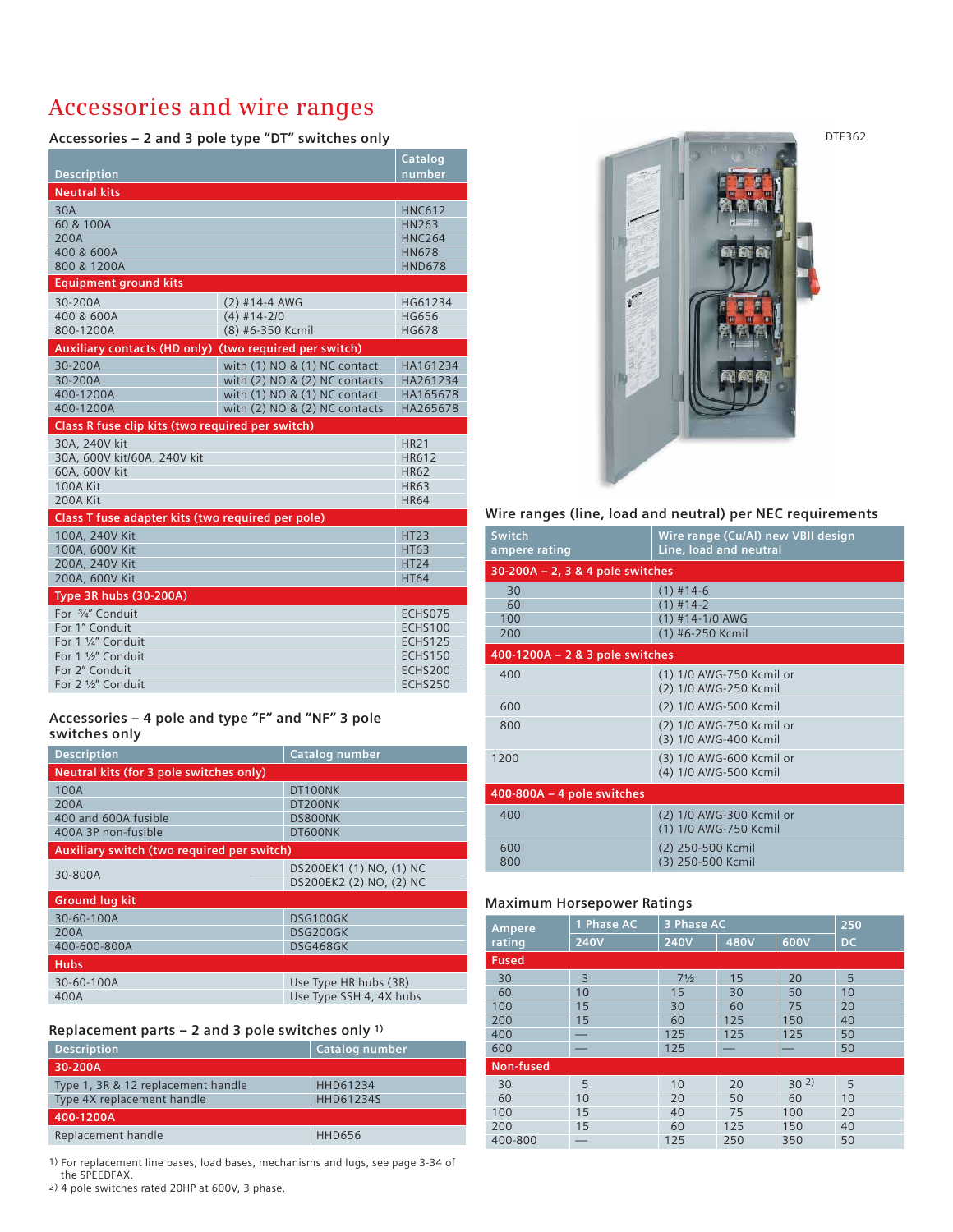### **Accessories and wire ranges**

 **Accessories – 2 and 3 pole type "DT" switches only**

|                                                        |                                   | <b>Catalog</b>                   |
|--------------------------------------------------------|-----------------------------------|----------------------------------|
| <b>Description</b>                                     |                                   | number                           |
| <b>Neutral kits</b>                                    |                                   |                                  |
| 30A                                                    |                                   | <b>HNC612</b>                    |
| 60 & 100A                                              |                                   | HN263                            |
| 200A                                                   |                                   | <b>HNC264</b>                    |
| 400 & 600A                                             |                                   | <b>HN678</b>                     |
| 800 & 1200A                                            |                                   | <b>HND678</b>                    |
| <b>Equipment ground kits</b>                           |                                   |                                  |
| 30-200A                                                | $(2)$ #14-4 AWG                   | HG61234                          |
| 400 & 600A                                             | $(4)$ #14-2/0                     | <b>HG656</b>                     |
| 800-1200A                                              | (8) #6-350 Kcmil                  | <b>HG678</b>                     |
| Auxiliary contacts (HD only) (two required per switch) |                                   |                                  |
| 30-200A                                                | with $(1)$ NO & $(1)$ NC contact  | HA161234                         |
| 30-200A                                                | with $(2)$ NO & $(2)$ NC contacts | HA261234                         |
| 400-1200A<br>400-1200A                                 | with (1) NO & (1) NC contact      | HA165678<br>HA265678             |
|                                                        | with $(2)$ NO & $(2)$ NC contacts |                                  |
| Class R fuse clip kits (two required per switch)       |                                   |                                  |
|                                                        |                                   |                                  |
| 30A, 240V kit                                          |                                   | <b>HR21</b>                      |
| 30A, 600V kit/60A, 240V kit                            |                                   | HR612                            |
| 60A, 600V kit                                          |                                   | <b>HR62</b>                      |
| <b>100A Kit</b>                                        |                                   | <b>HR63</b>                      |
| 200A Kit                                               |                                   | <b>HR64</b>                      |
| Class T fuse adapter kits (two required per pole)      |                                   |                                  |
| 100A, 240V Kit                                         |                                   | <b>HT23</b>                      |
| 100A, 600V Kit                                         |                                   | <b>HT63</b><br><b>HT24</b>       |
| 200A, 240V Kit<br>200A, 600V Kit                       |                                   | <b>HT64</b>                      |
|                                                        |                                   |                                  |
| <b>Type 3R hubs (30-200A)</b><br>For 3/4" Conduit      |                                   |                                  |
| For 1" Conduit                                         |                                   | ECHS075<br><b>ECHS100</b>        |
| For 1 1/4" Conduit                                     |                                   | <b>ECHS125</b>                   |
| For 1 1/2" Conduit                                     |                                   | <b>ECHS150</b>                   |
| For 2" Conduit<br>For 2 1/2" Conduit                   |                                   | <b>ECHS200</b><br><b>ECHS250</b> |

#### **Accessories – 4 pole and type "F" and "NF" 3 pole switches only**

| <b>Description</b>                         | Catalog number          |  |  |
|--------------------------------------------|-------------------------|--|--|
| Neutral kits (for 3 pole switches only)    |                         |  |  |
| 100A                                       | DT100NK                 |  |  |
| 200A                                       | DT200NK                 |  |  |
| 400 and 600A fusible                       | DS800NK                 |  |  |
| 400A 3P non-fusible                        | DT600NK                 |  |  |
| Auxiliary switch (two required per switch) |                         |  |  |
|                                            | DS200EK1 (1) NO, (1) NC |  |  |
| 30-800A                                    | DS200EK2 (2) NO, (2) NC |  |  |
| <b>Ground lug kit</b>                      |                         |  |  |
| 30-60-100A                                 | DSG100GK                |  |  |
| 200A                                       | DSG200GK                |  |  |
| 400-600-800A                               | DSG468GK                |  |  |
| <b>Hubs</b>                                |                         |  |  |
| 30-60-100A                                 | Use Type HR hubs (3R)   |  |  |
| 400A                                       | Use Type SSH 4, 4X hubs |  |  |

#### **Replacement parts – 2 and 3 pole switches only 1)**

| <b>Description</b>                 | Catalog number |
|------------------------------------|----------------|
| 30-200A                            |                |
| Type 1, 3R & 12 replacement handle | HHD61234       |
| Type 4X replacement handle         | HHD61234S      |
| 400-1200A                          |                |
| Replacement handle                 | <b>HHD656</b>  |
|                                    |                |

1) For replacement line bases, load bases, mechanisms and lugs, see page 3-34 of the SPEEDFAX.

2) 4 pole switches rated 20HP at 600V, 3 phase.



|  |  | Wire ranges (line, load and neutral) per NEC requirements |  |  |
|--|--|-----------------------------------------------------------|--|--|
|  |  |                                                           |  |  |

| Switch<br>ampere rating             | Wire range (Cu/Al) new VBII design<br>Line, load and neutral |
|-------------------------------------|--------------------------------------------------------------|
| $30-200A - 2$ , 3 & 4 pole switches |                                                              |
| 30                                  | $(1)$ #14-6                                                  |
| 60                                  | $(1)$ #14-2                                                  |
| 100                                 | $(1)$ #14-1/0 AWG                                            |
| 200                                 | (1) #6-250 Kcmil                                             |
| 400-1200A $- 2 & 3$ pole switches   |                                                              |
| 400                                 | (1) 1/0 AWG-750 Kcmil or<br>(2) 1/0 AWG-250 Kcmil            |
|                                     |                                                              |
| 600                                 | (2) 1/0 AWG-500 Kcmil                                        |
| 800                                 | (2) 1/0 AWG-750 Kcmil or                                     |
|                                     | (3) 1/0 AWG-400 Kcmil                                        |
| 1200                                | (3) 1/0 AWG-600 Kcmil or                                     |
|                                     | (4) 1/0 AWG-500 Kcmil                                        |
| $400-800A - 4$ pole switches        |                                                              |
| 400                                 | (2) 1/0 AWG-300 Kcmil or                                     |
|                                     | (1) 1/0 AWG-750 Kcmil                                        |
| 600                                 | (2) 250-500 Kcmil                                            |
| 800                                 | (3) 250-500 Kcmil                                            |
|                                     |                                                              |

#### **Maximum Horsepower Ratings**

| Ampere       | 1 Phase AC  | 3 Phase AC     |      |                 |     |  |
|--------------|-------------|----------------|------|-----------------|-----|--|
| rating       | <b>240V</b> | <b>240V</b>    | 480V | 600V            | DC. |  |
| <b>Fused</b> |             |                |      |                 |     |  |
| 30           | 3           | $7\frac{1}{2}$ | 15   | 20              | 5   |  |
| 60           | 10          | 15             | 30   | 50              | 10  |  |
| 100          | 15          | 30             | 60   | 75              | 20  |  |
| 200          | 15          | 60             | 125  | 150             | 40  |  |
| 400          |             | 125            | 125  | 125             | 50  |  |
| 600          |             | 125            |      |                 | 50  |  |
| Non-fused    |             |                |      |                 |     |  |
| 30           | 5           | 10             | 20   | 30 <sup>2</sup> | 5   |  |
| 60           | 10          | 20             | 50   | 60              | 10  |  |
| 100          | 15          | 40             | 75   | 100             | 20  |  |
| 200          | 15          | 60             | 125  | 150             | 40  |  |
| 400-800      |             | 125            | 250  | 350             | 50  |  |

DTF362